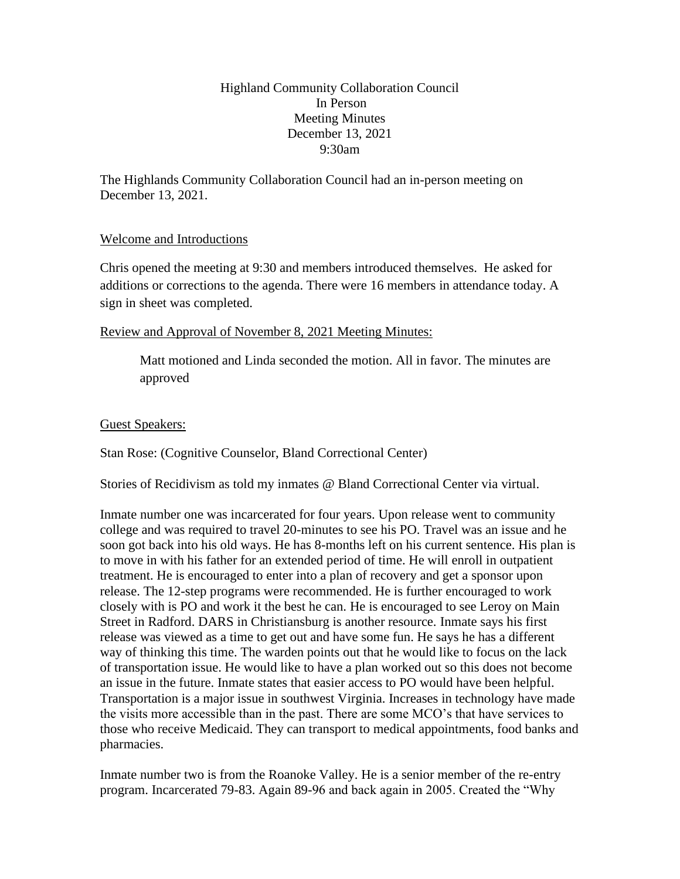Highland Community Collaboration Council In Person Meeting Minutes December 13, 2021 9:30am

The Highlands Community Collaboration Council had an in-person meeting on December 13, 2021.

## Welcome and Introductions

Chris opened the meeting at 9:30 and members introduced themselves. He asked for additions or corrections to the agenda. There were 16 members in attendance today. A sign in sheet was completed.

## Review and Approval of November 8, 2021 Meeting Minutes:

Matt motioned and Linda seconded the motion. All in favor. The minutes are approved

### Guest Speakers:

Stan Rose: (Cognitive Counselor, Bland Correctional Center)

Stories of Recidivism as told my inmates @ Bland Correctional Center via virtual.

Inmate number one was incarcerated for four years. Upon release went to community college and was required to travel 20-minutes to see his PO. Travel was an issue and he soon got back into his old ways. He has 8-months left on his current sentence. His plan is to move in with his father for an extended period of time. He will enroll in outpatient treatment. He is encouraged to enter into a plan of recovery and get a sponsor upon release. The 12-step programs were recommended. He is further encouraged to work closely with is PO and work it the best he can. He is encouraged to see Leroy on Main Street in Radford. DARS in Christiansburg is another resource. Inmate says his first release was viewed as a time to get out and have some fun. He says he has a different way of thinking this time. The warden points out that he would like to focus on the lack of transportation issue. He would like to have a plan worked out so this does not become an issue in the future. Inmate states that easier access to PO would have been helpful. Transportation is a major issue in southwest Virginia. Increases in technology have made the visits more accessible than in the past. There are some MCO's that have services to those who receive Medicaid. They can transport to medical appointments, food banks and pharmacies.

Inmate number two is from the Roanoke Valley. He is a senior member of the re-entry program. Incarcerated 79-83. Again 89-96 and back again in 2005. Created the "Why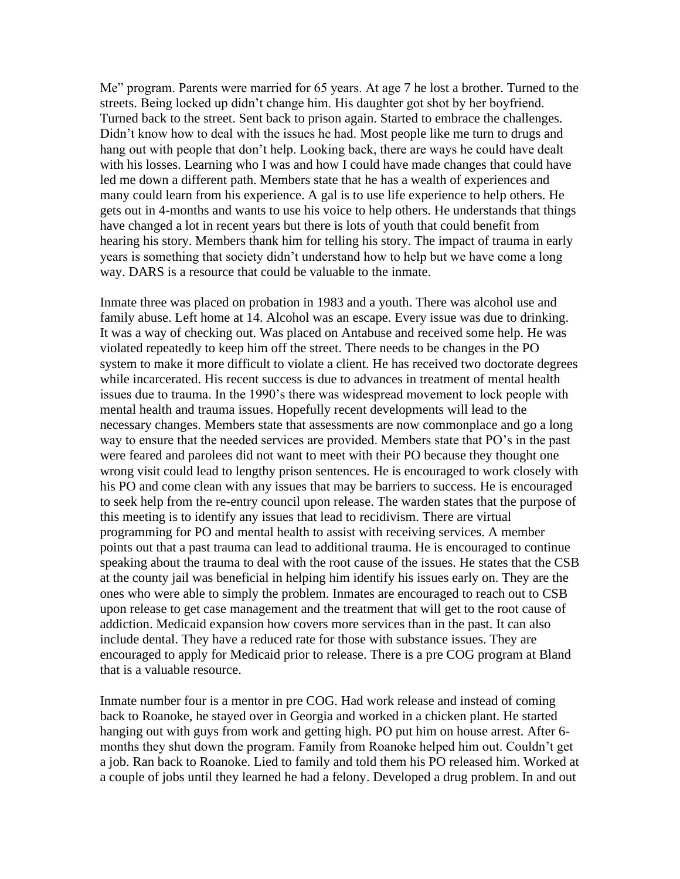Me" program. Parents were married for 65 years. At age 7 he lost a brother. Turned to the streets. Being locked up didn't change him. His daughter got shot by her boyfriend. Turned back to the street. Sent back to prison again. Started to embrace the challenges. Didn't know how to deal with the issues he had. Most people like me turn to drugs and hang out with people that don't help. Looking back, there are ways he could have dealt with his losses. Learning who I was and how I could have made changes that could have led me down a different path. Members state that he has a wealth of experiences and many could learn from his experience. A gal is to use life experience to help others. He gets out in 4-months and wants to use his voice to help others. He understands that things have changed a lot in recent years but there is lots of youth that could benefit from hearing his story. Members thank him for telling his story. The impact of trauma in early years is something that society didn't understand how to help but we have come a long way. DARS is a resource that could be valuable to the inmate.

Inmate three was placed on probation in 1983 and a youth. There was alcohol use and family abuse. Left home at 14. Alcohol was an escape. Every issue was due to drinking. It was a way of checking out. Was placed on Antabuse and received some help. He was violated repeatedly to keep him off the street. There needs to be changes in the PO system to make it more difficult to violate a client. He has received two doctorate degrees while incarcerated. His recent success is due to advances in treatment of mental health issues due to trauma. In the 1990's there was widespread movement to lock people with mental health and trauma issues. Hopefully recent developments will lead to the necessary changes. Members state that assessments are now commonplace and go a long way to ensure that the needed services are provided. Members state that PO's in the past were feared and parolees did not want to meet with their PO because they thought one wrong visit could lead to lengthy prison sentences. He is encouraged to work closely with his PO and come clean with any issues that may be barriers to success. He is encouraged to seek help from the re-entry council upon release. The warden states that the purpose of this meeting is to identify any issues that lead to recidivism. There are virtual programming for PO and mental health to assist with receiving services. A member points out that a past trauma can lead to additional trauma. He is encouraged to continue speaking about the trauma to deal with the root cause of the issues. He states that the CSB at the county jail was beneficial in helping him identify his issues early on. They are the ones who were able to simply the problem. Inmates are encouraged to reach out to CSB upon release to get case management and the treatment that will get to the root cause of addiction. Medicaid expansion how covers more services than in the past. It can also include dental. They have a reduced rate for those with substance issues. They are encouraged to apply for Medicaid prior to release. There is a pre COG program at Bland that is a valuable resource.

Inmate number four is a mentor in pre COG. Had work release and instead of coming back to Roanoke, he stayed over in Georgia and worked in a chicken plant. He started hanging out with guys from work and getting high. PO put him on house arrest. After 6 months they shut down the program. Family from Roanoke helped him out. Couldn't get a job. Ran back to Roanoke. Lied to family and told them his PO released him. Worked at a couple of jobs until they learned he had a felony. Developed a drug problem. In and out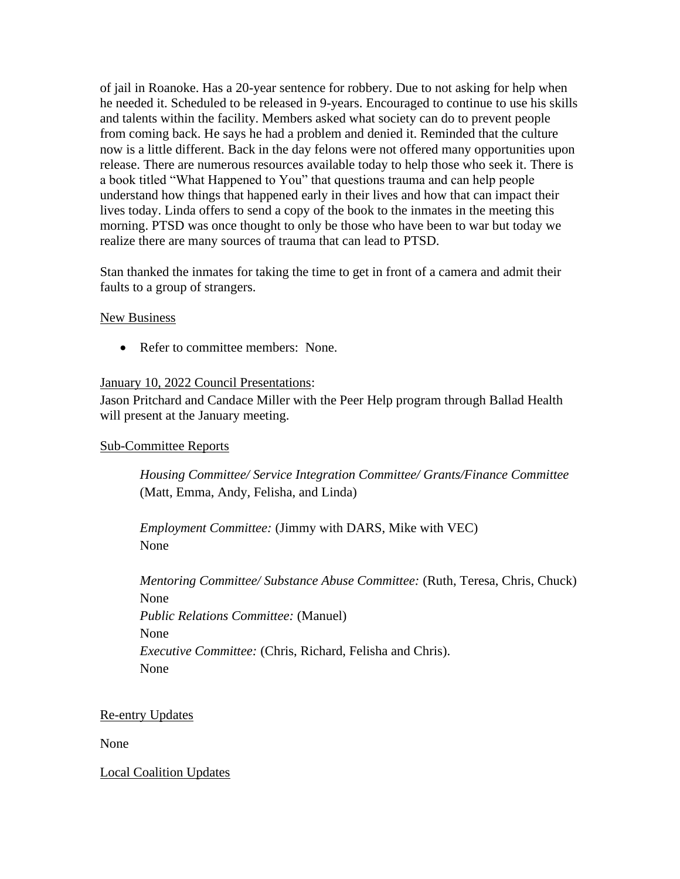of jail in Roanoke. Has a 20-year sentence for robbery. Due to not asking for help when he needed it. Scheduled to be released in 9-years. Encouraged to continue to use his skills and talents within the facility. Members asked what society can do to prevent people from coming back. He says he had a problem and denied it. Reminded that the culture now is a little different. Back in the day felons were not offered many opportunities upon release. There are numerous resources available today to help those who seek it. There is a book titled "What Happened to You" that questions trauma and can help people understand how things that happened early in their lives and how that can impact their lives today. Linda offers to send a copy of the book to the inmates in the meeting this morning. PTSD was once thought to only be those who have been to war but today we realize there are many sources of trauma that can lead to PTSD.

Stan thanked the inmates for taking the time to get in front of a camera and admit their faults to a group of strangers.

### New Business

• Refer to committee members: None.

### January 10, 2022 Council Presentations:

Jason Pritchard and Candace Miller with the Peer Help program through Ballad Health will present at the January meeting.

#### Sub-Committee Reports

*Housing Committee/ Service Integration Committee/ Grants/Finance Committee* (Matt, Emma, Andy, Felisha, and Linda)

*Employment Committee:* (Jimmy with DARS, Mike with VEC) None

*Mentoring Committee/ Substance Abuse Committee:* (Ruth, Teresa, Chris, Chuck) None *Public Relations Committee:* (Manuel) None *Executive Committee:* (Chris, Richard, Felisha and Chris). None

### Re-entry Updates

None

Local Coalition Updates